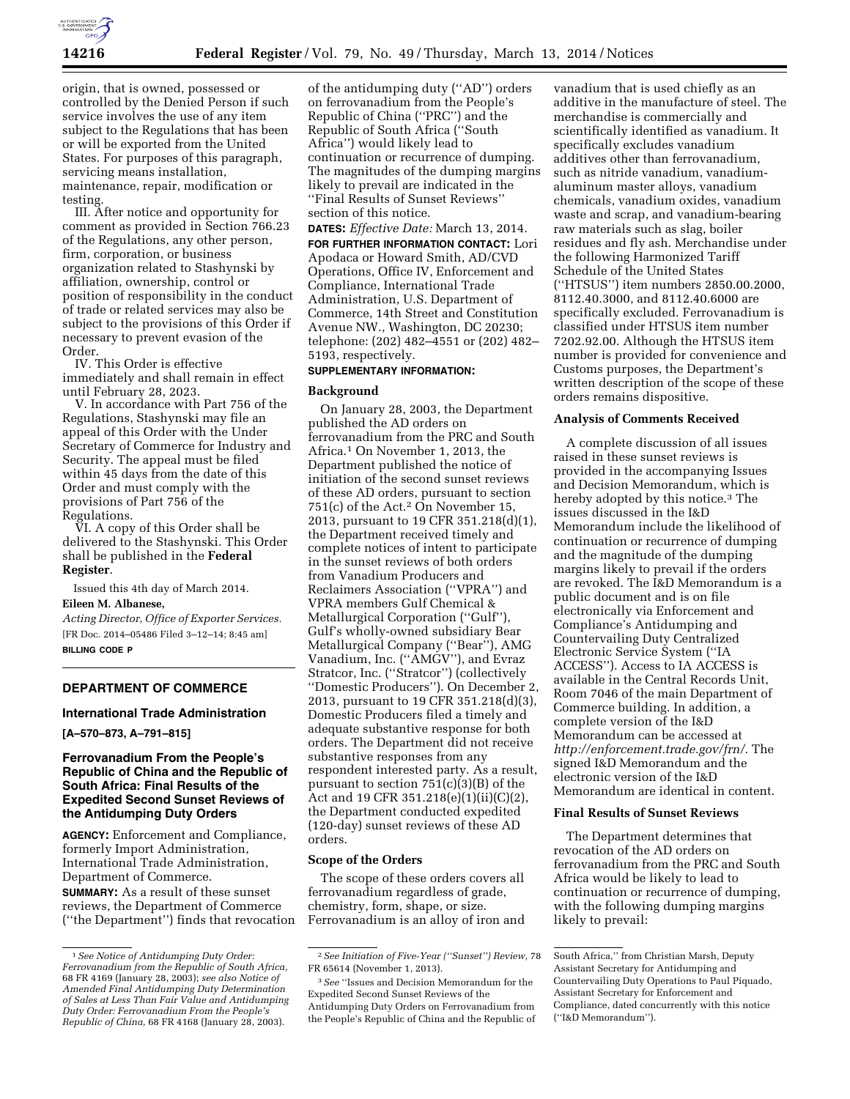

origin, that is owned, possessed or controlled by the Denied Person if such service involves the use of any item subject to the Regulations that has been or will be exported from the United States. For purposes of this paragraph, servicing means installation, maintenance, repair, modification or testing.

III. After notice and opportunity for comment as provided in Section 766.23 of the Regulations, any other person, firm, corporation, or business organization related to Stashynski by affiliation, ownership, control or position of responsibility in the conduct of trade or related services may also be subject to the provisions of this Order if necessary to prevent evasion of the Order.

IV. This Order is effective immediately and shall remain in effect until February 28, 2023.

V. In accordance with Part 756 of the Regulations, Stashynski may file an appeal of this Order with the Under Secretary of Commerce for Industry and Security. The appeal must be filed within 45 days from the date of this Order and must comply with the provisions of Part 756 of the Regulations.

VI. A copy of this Order shall be delivered to the Stashynski. This Order shall be published in the **Federal Register**.

Issued this 4th day of March 2014.

### **Eileen M. Albanese,**

*Acting Director, Office of Exporter Services.*  [FR Doc. 2014–05486 Filed 3–12–14; 8:45 am] **BILLING CODE P** 

## **DEPARTMENT OF COMMERCE**

#### **International Trade Administration**

**[A–570–873, A–791–815]** 

## **Ferrovanadium From the People's Republic of China and the Republic of South Africa: Final Results of the Expedited Second Sunset Reviews of the Antidumping Duty Orders**

**AGENCY:** Enforcement and Compliance, formerly Import Administration, International Trade Administration, Department of Commerce.

**SUMMARY:** As a result of these sunset reviews, the Department of Commerce (''the Department'') finds that revocation of the antidumping duty (''AD'') orders on ferrovanadium from the People's Republic of China (''PRC'') and the Republic of South Africa (''South Africa'') would likely lead to continuation or recurrence of dumping. The magnitudes of the dumping margins likely to prevail are indicated in the ''Final Results of Sunset Reviews'' section of this notice.

### **DATES:** *Effective Date:* March 13, 2014.

**FOR FURTHER INFORMATION CONTACT:** Lori Apodaca or Howard Smith, AD/CVD Operations, Office IV, Enforcement and Compliance, International Trade Administration, U.S. Department of Commerce, 14th Street and Constitution Avenue NW., Washington, DC 20230; telephone: (202) 482–4551 or (202) 482– 5193, respectively.

### **SUPPLEMENTARY INFORMATION:**

#### **Background**

On January 28, 2003, the Department published the AD orders on ferrovanadium from the PRC and South Africa.1 On November 1, 2013, the Department published the notice of initiation of the second sunset reviews of these AD orders, pursuant to section 751(c) of the Act.2 On November 15, 2013, pursuant to 19 CFR 351.218(d)(1), the Department received timely and complete notices of intent to participate in the sunset reviews of both orders from Vanadium Producers and Reclaimers Association (''VPRA'') and VPRA members Gulf Chemical & Metallurgical Corporation (''Gulf''), Gulf's wholly-owned subsidiary Bear Metallurgical Company (''Bear''), AMG Vanadium, Inc. (''AMGV''), and Evraz Stratcor, Inc. (''Stratcor'') (collectively ''Domestic Producers''). On December 2, 2013, pursuant to 19 CFR 351.218(d)(3), Domestic Producers filed a timely and adequate substantive response for both orders. The Department did not receive substantive responses from any respondent interested party. As a result, pursuant to section 751(c)(3)(B) of the Act and 19 CFR 351.218(e)(1)(ii)(C)(2), the Department conducted expedited (120-day) sunset reviews of these AD orders.

#### **Scope of the Orders**

The scope of these orders covers all ferrovanadium regardless of grade, chemistry, form, shape, or size. Ferrovanadium is an alloy of iron and

vanadium that is used chiefly as an additive in the manufacture of steel. The merchandise is commercially and scientifically identified as vanadium. It specifically excludes vanadium additives other than ferrovanadium, such as nitride vanadium, vanadiumaluminum master alloys, vanadium chemicals, vanadium oxides, vanadium waste and scrap, and vanadium-bearing raw materials such as slag, boiler residues and fly ash. Merchandise under the following Harmonized Tariff Schedule of the United States (''HTSUS'') item numbers 2850.00.2000, 8112.40.3000, and 8112.40.6000 are specifically excluded. Ferrovanadium is classified under HTSUS item number 7202.92.00. Although the HTSUS item number is provided for convenience and Customs purposes, the Department's written description of the scope of these orders remains dispositive.

#### **Analysis of Comments Received**

A complete discussion of all issues raised in these sunset reviews is provided in the accompanying Issues and Decision Memorandum, which is hereby adopted by this notice.3 The issues discussed in the I&D Memorandum include the likelihood of continuation or recurrence of dumping and the magnitude of the dumping margins likely to prevail if the orders are revoked. The I&D Memorandum is a public document and is on file electronically via Enforcement and Compliance's Antidumping and Countervailing Duty Centralized Electronic Service System (''IA ACCESS''). Access to IA ACCESS is available in the Central Records Unit, Room 7046 of the main Department of Commerce building. In addition, a complete version of the I&D Memorandum can be accessed at *[http://enforcement.trade.gov/frn/.](http://enforcement.trade.gov/frn/)* The signed I&D Memorandum and the electronic version of the I&D Memorandum are identical in content.

### **Final Results of Sunset Reviews**

The Department determines that revocation of the AD orders on ferrovanadium from the PRC and South Africa would be likely to lead to continuation or recurrence of dumping, with the following dumping margins likely to prevail:

<sup>1</sup>*See Notice of Antidumping Duty Order: Ferrovanadium from the Republic of South Africa,*  68 FR 4169 (January 28, 2003); *see also Notice of Amended Final Antidumping Duty Determination of Sales at Less Than Fair Value and Antidumping Duty Order: Ferrovanadium From the People's Republic of China,* 68 FR 4168 (January 28, 2003).

<sup>2</sup>*See Initiation of Five-Year (''Sunset'') Review,* 78 FR 65614 (November 1, 2013).

<sup>3</sup>*See* ''Issues and Decision Memorandum for the Expedited Second Sunset Reviews of the Antidumping Duty Orders on Ferrovanadium from the People's Republic of China and the Republic of

South Africa,'' from Christian Marsh, Deputy Assistant Secretary for Antidumping and Countervailing Duty Operations to Paul Piquado, Assistant Secretary for Enforcement and Compliance, dated concurrently with this notice (''I&D Memorandum'').